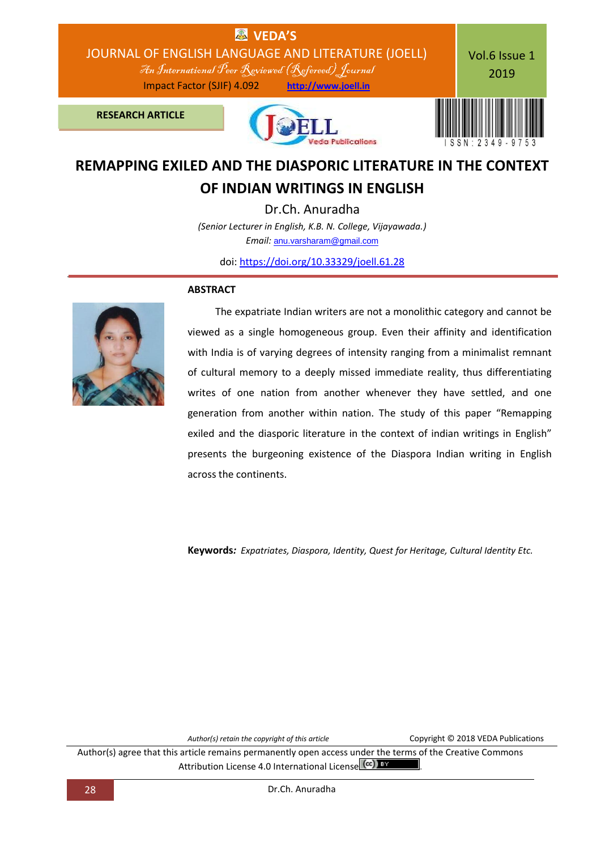

# **REMAPPING EXILED AND THE DIASPORIC LITERATURE IN THE CONTEXT OF INDIAN WRITINGS IN ENGLISH**

Dr.Ch. Anuradha *(Senior Lecturer in English, K.B. N. College, Vijayawada.) Email:* [anu.varsharam@gmail.com](mailto:anu.varsharam@gmail.com)

doi: [https://doi.org/10.33329/joell.61.28](http://joell.in/vol-6-issue-1-2019/)



#### **ABSTRACT**

 The expatriate Indian writers are not a monolithic category and cannot be viewed as a single homogeneous group. Even their affinity and identification with India is of varying degrees of intensity ranging from a minimalist remnant of cultural memory to a deeply missed immediate reality, thus differentiating writes of one nation from another whenever they have settled, and one generation from another within nation. The study of this paper "Remapping exiled and the diasporic literature in the context of indian writings in English" presents the burgeoning existence of the Diaspora Indian writing in English across the continents.

**Keywords***: Expatriates, Diaspora, Identity, Quest for Heritage, Cultural Identity Etc.*

Author(s) retain the copyright of this article **COPYRIGHT COPY** COPYright © 2018 VEDA Publications

Author(s) agree that this article remains permanently open access under the terms of the Creative Commons Attribution License 4.0 International License (cc) BY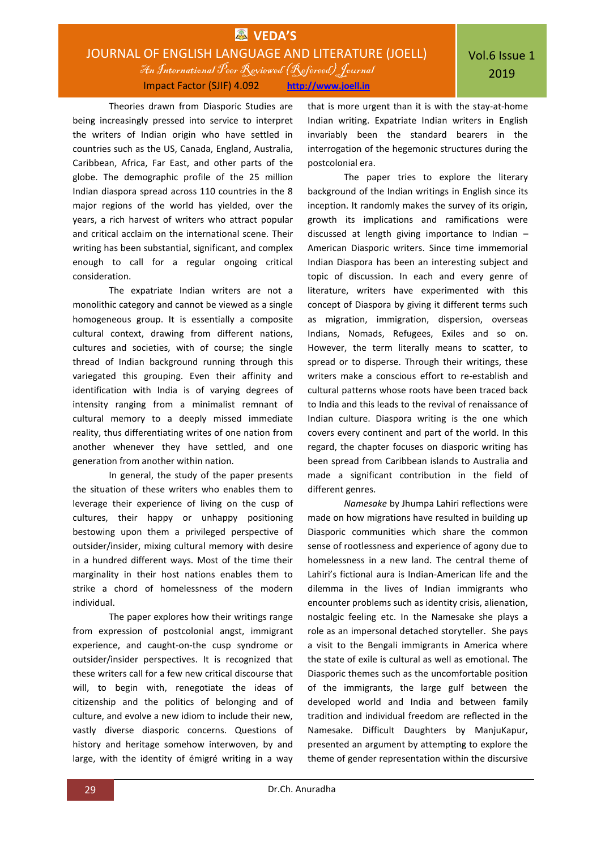## **EX** VEDA'S JOURNAL OF ENGLISH LANGUAGE AND LITERATURE (JOELL) An International Peer Reviewed (Refereed)Journal Impact Factor (SJIF) 4.092 **http://www.joell.in**

Theories drawn from Diasporic Studies are being increasingly pressed into service to interpret the writers of Indian origin who have settled in countries such as the US, Canada, England, Australia, Caribbean, Africa, Far East, and other parts of the globe. The demographic profile of the 25 million Indian diaspora spread across 110 countries in the 8 major regions of the world has yielded, over the years, a rich harvest of writers who attract popular and critical acclaim on the international scene. Their writing has been substantial, significant, and complex enough to call for a regular ongoing critical consideration.

The expatriate Indian writers are not a monolithic category and cannot be viewed as a single homogeneous group. It is essentially a composite cultural context, drawing from different nations, cultures and societies, with of course; the single thread of Indian background running through this variegated this grouping. Even their affinity and identification with India is of varying degrees of intensity ranging from a minimalist remnant of cultural memory to a deeply missed immediate reality, thus differentiating writes of one nation from another whenever they have settled, and one generation from another within nation.

In general, the study of the paper presents the situation of these writers who enables them to leverage their experience of living on the cusp of cultures, their happy or unhappy positioning bestowing upon them a privileged perspective of outsider/insider, mixing cultural memory with desire in a hundred different ways. Most of the time their marginality in their host nations enables them to strike a chord of homelessness of the modern individual.

The paper explores how their writings range from expression of postcolonial angst, immigrant experience, and caught-on-the cusp syndrome or outsider/insider perspectives. It is recognized that these writers call for a few new critical discourse that will, to begin with, renegotiate the ideas of citizenship and the politics of belonging and of culture, and evolve a new idiom to include their new, vastly diverse diasporic concerns. Questions of history and heritage somehow interwoven, by and large, with the identity of émigré writing in a way

that is more urgent than it is with the stay-at-home Indian writing. Expatriate Indian writers in English invariably been the standard bearers in the interrogation of the hegemonic structures during the postcolonial era.

The paper tries to explore the literary background of the Indian writings in English since its inception. It randomly makes the survey of its origin, growth its implications and ramifications were discussed at length giving importance to Indian – American Diasporic writers. Since time immemorial Indian Diaspora has been an interesting subject and topic of discussion. In each and every genre of literature, writers have experimented with this concept of Diaspora by giving it different terms such as migration, immigration, dispersion, overseas Indians, Nomads, Refugees, Exiles and so on. However, the term literally means to scatter, to spread or to disperse. Through their writings, these writers make a conscious effort to re-establish and cultural patterns whose roots have been traced back to India and this leads to the revival of renaissance of Indian culture. Diaspora writing is the one which covers every continent and part of the world. In this regard, the chapter focuses on diasporic writing has been spread from Caribbean islands to Australia and made a significant contribution in the field of different genres.

*Namesake* by Jhumpa Lahiri reflections were made on how migrations have resulted in building up Diasporic communities which share the common sense of rootlessness and experience of agony due to homelessness in a new land. The central theme of Lahiri's fictional aura is Indian-American life and the dilemma in the lives of Indian immigrants who encounter problems such as identity crisis, alienation, nostalgic feeling etc. In the Namesake she plays a role as an impersonal detached storyteller. She pays a visit to the Bengali immigrants in America where the state of exile is cultural as well as emotional. The Diasporic themes such as the uncomfortable position of the immigrants, the large gulf between the developed world and India and between family tradition and individual freedom are reflected in the Namesake. Difficult Daughters by ManjuKapur, presented an argument by attempting to explore the theme of gender representation within the discursive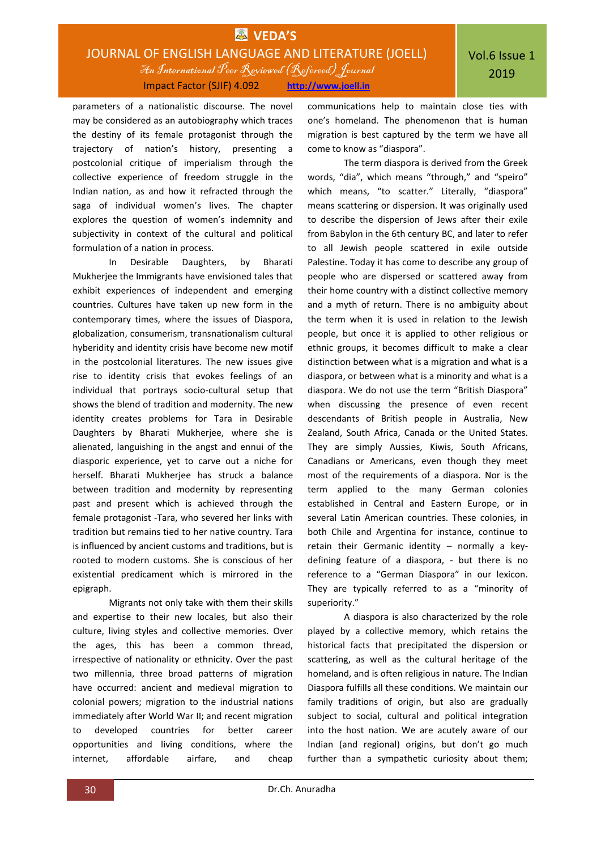## **EX** VEDA'S JOURNAL OF ENGLISH LANGUAGE AND LITERATURE (JOELL) An International Peer Reviewed (Refereed)Journal Impact Factor (SJIF) 4.092 **http://www.joell.in**

parameters of a nationalistic discourse. The novel may be considered as an autobiography which traces the destiny of its female protagonist through the trajectory of nation's history, presenting a postcolonial critique of imperialism through the collective experience of freedom struggle in the Indian nation, as and how it refracted through the saga of individual women's lives. The chapter explores the question of women's indemnity and subjectivity in context of the cultural and political formulation of a nation in process.

In Desirable Daughters, by Bharati Mukherjee the Immigrants have envisioned tales that exhibit experiences of independent and emerging countries. Cultures have taken up new form in the contemporary times, where the issues of Diaspora, globalization, consumerism, transnationalism cultural hyberidity and identity crisis have become new motif in the postcolonial literatures. The new issues give rise to identity crisis that evokes feelings of an individual that portrays socio-cultural setup that shows the blend of tradition and modernity. The new identity creates problems for Tara in Desirable Daughters by Bharati Mukherjee, where she is alienated, languishing in the angst and ennui of the diasporic experience, yet to carve out a niche for herself. Bharati Mukherjee has struck a balance between tradition and modernity by representing past and present which is achieved through the female protagonist -Tara, who severed her links with tradition but remains tied to her native country. Tara is influenced by ancient customs and traditions, but is rooted to modern customs. She is conscious of her existential predicament which is mirrored in the epigraph.

Migrants not only take with them their skills and expertise to their new locales, but also their culture, living styles and collective memories. Over the ages, this has been a common thread, irrespective of nationality or ethnicity. Over the past two millennia, three broad patterns of migration have occurred: ancient and medieval migration to colonial powers; migration to the industrial nations immediately after World War II; and recent migration to developed countries for better career opportunities and living conditions, where the internet, affordable airfare, and cheap

communications help to maintain close ties with one's homeland. The phenomenon that is human migration is best captured by the term we have all come to know as "diaspora".

The term diaspora is derived from the Greek words, "dia", which means "through," and "speiro" which means, "to scatter." Literally, "diaspora" means scattering or dispersion. It was originally used to describe the dispersion of Jews after their exile from Babylon in the 6th century BC, and later to refer to all Jewish people scattered in exile outside Palestine. Today it has come to describe any group of people who are dispersed or scattered away from their home country with a distinct collective memory and a myth of return. There is no ambiguity about the term when it is used in relation to the Jewish people, but once it is applied to other religious or ethnic groups, it becomes difficult to make a clear distinction between what is a migration and what is a diaspora, or between what is a minority and what is a diaspora. We do not use the term "British Diaspora" when discussing the presence of even recent descendants of British people in Australia, New Zealand, South Africa, Canada or the United States. They are simply Aussies, Kiwis, South Africans, Canadians or Americans, even though they meet most of the requirements of a diaspora. Nor is the term applied to the many German colonies established in Central and Eastern Europe, or in several Latin American countries. These colonies, in both Chile and Argentina for instance, continue to retain their Germanic identity – normally a keydefining feature of a diaspora, - but there is no reference to a "German Diaspora" in our lexicon. They are typically referred to as a "minority of superiority."

A diaspora is also characterized by the role played by a collective memory, which retains the historical facts that precipitated the dispersion or scattering, as well as the cultural heritage of the homeland, and is often religious in nature. The Indian Diaspora fulfills all these conditions. We maintain our family traditions of origin, but also are gradually subject to social, cultural and political integration into the host nation. We are acutely aware of our Indian (and regional) origins, but don't go much further than a sympathetic curiosity about them;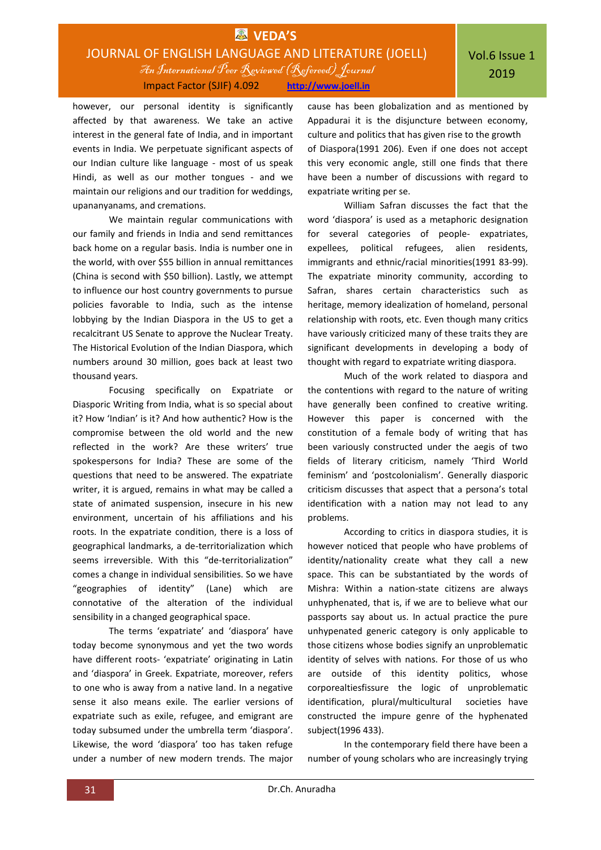## **EX** VEDA'S JOURNAL OF ENGLISH LANGUAGE AND LITERATURE (JOELL) An International Peer Reviewed (Refereed)Journal Impact Factor (SJIF) 4.092 **http://www.joell.in**

however, our personal identity is significantly affected by that awareness. We take an active interest in the general fate of India, and in important events in India. We perpetuate significant aspects of our Indian culture like language - most of us speak Hindi, as well as our mother tongues - and we maintain our religions and our tradition for weddings, upananyanams, and cremations.

We maintain regular communications with our family and friends in India and send remittances back home on a regular basis. India is number one in the world, with over \$55 billion in annual remittances (China is second with \$50 billion). Lastly, we attempt to influence our host country governments to pursue policies favorable to India, such as the intense lobbying by the Indian Diaspora in the US to get a recalcitrant US Senate to approve the Nuclear Treaty. The Historical Evolution of the Indian Diaspora, which numbers around 30 million, goes back at least two thousand years.

Focusing specifically on Expatriate or Diasporic Writing from India, what is so special about it? How 'Indian' is it? And how authentic? How is the compromise between the old world and the new reflected in the work? Are these writers' true spokespersons for India? These are some of the questions that need to be answered. The expatriate writer, it is argued, remains in what may be called a state of animated suspension, insecure in his new environment, uncertain of his affiliations and his roots. In the expatriate condition, there is a loss of geographical landmarks, a de-territorialization which seems irreversible. With this "de-territorialization" comes a change in individual sensibilities. So we have "geographies of identity" (Lane) which are connotative of the alteration of the individual sensibility in a changed geographical space.

The terms 'expatriate' and 'diaspora' have today become synonymous and yet the two words have different roots- 'expatriate' originating in Latin and 'diaspora' in Greek. Expatriate, moreover, refers to one who is away from a native land. In a negative sense it also means exile. The earlier versions of expatriate such as exile, refugee, and emigrant are today subsumed under the umbrella term 'diaspora'. Likewise, the word 'diaspora' too has taken refuge under a number of new modern trends. The major

cause has been globalization and as mentioned by Appadurai it is the disjuncture between economy, culture and politics that has given rise to the growth of Diaspora(1991 206). Even if one does not accept this very economic angle, still one finds that there have been a number of discussions with regard to expatriate writing per se.

William Safran discusses the fact that the word 'diaspora' is used as a metaphoric designation for several categories of people- expatriates, expellees, political refugees, alien residents, immigrants and ethnic/racial minorities(1991 83-99). The expatriate minority community, according to Safran, shares certain characteristics such as heritage, memory idealization of homeland, personal relationship with roots, etc. Even though many critics have variously criticized many of these traits they are significant developments in developing a body of thought with regard to expatriate writing diaspora.

Much of the work related to diaspora and the contentions with regard to the nature of writing have generally been confined to creative writing. However this paper is concerned with the constitution of a female body of writing that has been variously constructed under the aegis of two fields of literary criticism, namely 'Third World feminism' and 'postcolonialism'. Generally diasporic criticism discusses that aspect that a persona's total identification with a nation may not lead to any problems.

According to critics in diaspora studies, it is however noticed that people who have problems of identity/nationality create what they call a new space. This can be substantiated by the words of Mishra: Within a nation-state citizens are always unhyphenated, that is, if we are to believe what our passports say about us. In actual practice the pure unhypenated generic category is only applicable to those citizens whose bodies signify an unproblematic identity of selves with nations. For those of us who are outside of this identity politics, whose corporealtiesfissure the logic of unproblematic identification, plural/multicultural societies have constructed the impure genre of the hyphenated subject(1996 433).

In the contemporary field there have been a number of young scholars who are increasingly trying